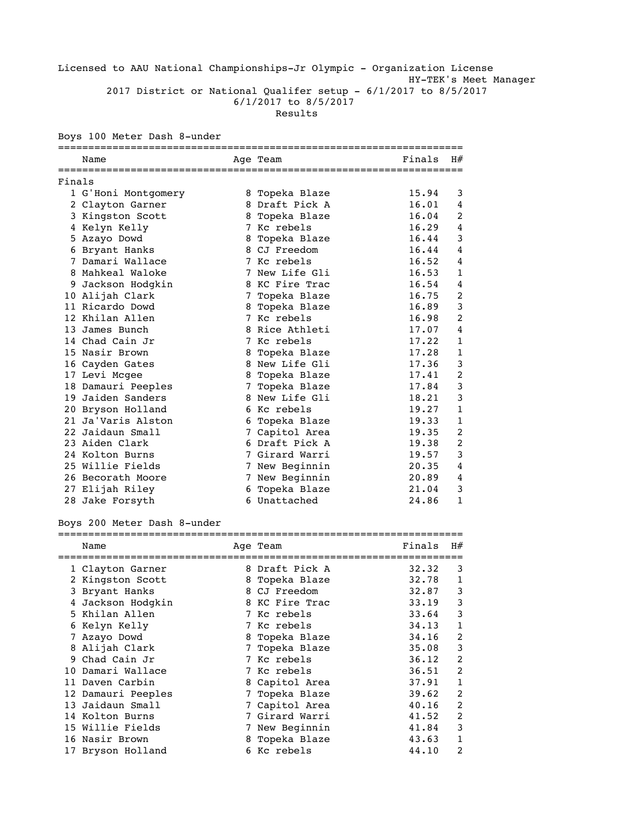Licensed to AAU National Championships-Jr Olympic - Organization License HY-TEK's Meet Manager 2017 District or National Qualifer setup - 6/1/2017 to 8/5/2017 6/1/2017 to 8/5/2017

Results

Boys 100 Meter Dash 8-under

|        | Name                |   | Age Team       | Finals | H#             |
|--------|---------------------|---|----------------|--------|----------------|
| Finals |                     |   |                |        |                |
|        | 1 G'Honi Montgomery |   | 8 Topeka Blaze | 15.94  | 3              |
|        | 2 Clayton Garner    |   | 8 Draft Pick A | 16.01  | 4              |
|        | 3 Kingston Scott    |   | 8 Topeka Blaze | 16.04  | 2              |
|        | 4 Kelyn Kelly       |   | 7 Kc rebels    | 16.29  | 4              |
|        | 5 Azayo Dowd        |   | 8 Topeka Blaze | 16.44  | 3              |
|        | 6 Bryant Hanks      |   | 8 CJ Freedom   | 16.44  | $\overline{4}$ |
|        | Damari Wallace      | 7 | Kc rebels      | 16.52  | 4              |
|        | 8 Mahkeal Waloke    |   | 7 New Life Gli | 16.53  | $\mathbf{1}$   |
|        | 9 Jackson Hodgkin   |   | 8 KC Fire Trac | 16.54  | 4              |
|        | 10 Alijah Clark     |   | 7 Topeka Blaze | 16.75  | 2              |
|        | 11 Ricardo Dowd     |   | 8 Topeka Blaze | 16.89  | 3              |
|        | 12 Khilan Allen     |   | 7 Kc rebels    | 16.98  | $\overline{2}$ |
|        | 13 James Bunch      |   | 8 Rice Athleti | 17.07  | 4              |
|        | 14 Chad Cain Jr     |   | 7 Kc rebels    | 17.22  | $\mathbf{1}$   |
|        | 15 Nasir Brown      |   | 8 Topeka Blaze | 17.28  | $\mathbf{1}$   |
|        | 16 Cayden Gates     |   | 8 New Life Gli | 17.36  | 3              |
|        | 17 Levi Mcgee       |   | 8 Topeka Blaze | 17.41  | 2              |
|        | 18 Damauri Peeples  | 7 | Topeka Blaze   | 17.84  | 3              |
|        | 19 Jaiden Sanders   |   | 8 New Life Gli | 18.21  | 3              |
|        | 20 Bryson Holland   |   | 6 Kc rebels    | 19.27  | $\mathbf{1}$   |
|        | 21 Ja'Varis Alston  |   | 6 Topeka Blaze | 19.33  | 1              |
|        | 22 Jaidaun Small    |   | 7 Capitol Area | 19.35  | 2              |
|        | 23 Aiden Clark      |   | 6 Draft Pick A | 19.38  | 2              |
|        | 24 Kolton Burns     | 7 | Girard Warri   | 19.57  | 3              |
|        | 25 Willie Fields    |   | 7 New Beginnin | 20.35  | 4              |
|        | 26 Becorath Moore   |   | 7 New Beginnin | 20.89  | 4              |
|        | 27 Elijah Riley     | 6 | Topeka Blaze   | 21.04  | 3              |
|        | 28 Jake Forsyth     |   | 6 Unattached   | 24.86  | $\mathbf{1}$   |

# Boys 200 Meter Dash 8-under

|    | Name               |   | Age Team       | Finals | H#            |
|----|--------------------|---|----------------|--------|---------------|
|    |                    |   |                |        |               |
|    | 1 Clayton Garner   |   | 8 Draft Pick A | 32.32  | 3             |
|    | Kingston Scott     |   | 8 Topeka Blaze | 32.78  | 1             |
|    | 3 Bryant Hanks     |   | 8 CJ Freedom   | 32.87  | 3             |
|    | 4 Jackson Hodgkin  |   | 8 KC Fire Trac | 33.19  | 3             |
|    | 5 Khilan Allen     |   | 7 Kc rebels    | 33.64  | 3             |
| 6  | Kelyn Kelly        |   | 7 Kc rebels    | 34.13  | 1             |
|    | 7 Azayo Dowd       |   | 8 Topeka Blaze | 34.16  | $\mathcal{P}$ |
| 8  | Alijah Clark       |   | 7 Topeka Blaze | 35.08  | 3             |
|    | 9 Chad Cain Jr     |   | 7 Kc rebels    | 36.12  | $\mathcal{P}$ |
|    | 10 Damari Wallace  |   | 7 Kc rebels    | 36.51  | 2             |
|    | 11 Daven Carbin    |   | 8 Capitol Area | 37.91  | 1             |
|    | 12 Damauri Peeples |   | 7 Topeka Blaze | 39.62  | 2             |
|    | 13 Jaidaun Small   |   | 7 Capitol Area | 40.16  | $\mathcal{P}$ |
|    | 14 Kolton Burns    |   | 7 Girard Warri | 41.52  | $\mathcal{P}$ |
|    | 15 Willie Fields   |   | 7 New Beginnin | 41.84  | 3             |
|    | 16 Nasir Brown     | 8 | Topeka Blaze   | 43.63  |               |
| 17 | Bryson Holland     |   | 6 Kc rebels    | 44.10  | 2             |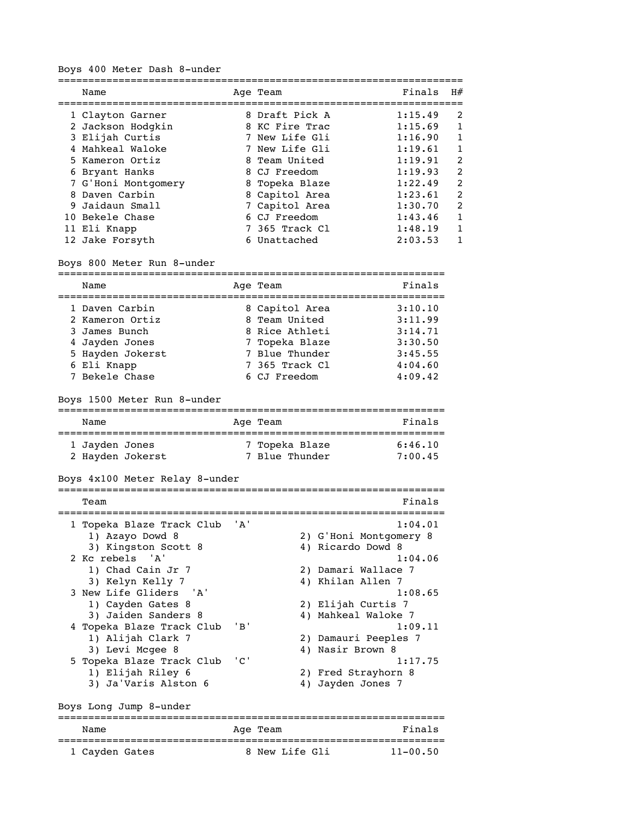Boys 400 Meter Dash 8-under ===================================================================

| Name                | Age Team       | Finals  | H#            |
|---------------------|----------------|---------|---------------|
|                     |                |         |               |
| 1 Clayton Garner    | 8 Draft Pick A | 1:15.49 | 2             |
| 2 Jackson Hodgkin   | 8 KC Fire Trac | 1:15.69 |               |
| 3 Elijah Curtis     | 7 New Life Gli | 1:16.90 |               |
| 4 Mahkeal Waloke    | 7 New Life Gli | 1:19.61 |               |
| 5 Kameron Ortiz     | 8 Team United  | 1:19.91 | $\mathcal{P}$ |
| 6 Bryant Hanks      | 8 CJ Freedom   | 1:19.93 | $\mathcal{L}$ |
| 7 G'Honi Montgomery | 8 Topeka Blaze | 1:22.49 | $\mathcal{P}$ |
| 8 Daven Carbin      | 8 Capitol Area | 1:23.61 | $\mathcal{P}$ |
| 9 Jaidaun Small     | 7 Capitol Area | 1:30.70 | $\mathcal{P}$ |
| 10 Bekele Chase     | 6 CJ Freedom   | 1:43.46 |               |
| 11 Eli Knapp        | 7 365 Track Cl | 1:48.19 |               |
| 12 Jake Forsyth     | 6 Unattached   | 2:03.53 |               |

### Boys 800 Meter Run 8-under

| Name             | Age Team       | Finals  |
|------------------|----------------|---------|
| 1 Daven Carbin   | 8 Capitol Area | 3:10.10 |
| 2 Kameron Ortiz  | 8 Team United  | 3:11.99 |
| 3 James Bunch    | 8 Rice Athleti | 3:14.71 |
| 4 Jayden Jones   | 7 Topeka Blaze | 3:30.50 |
| 5 Hayden Jokerst | 7 Blue Thunder | 3:45.55 |
| 6 Eli Knapp      | 7 365 Track Cl | 4:04.60 |
| 7 Bekele Chase   | 6 CJ Freedom   | 4:09.42 |

### Boys 1500 Meter Run 8-under

| Name                               | Age Team                         | Finals             |
|------------------------------------|----------------------------------|--------------------|
| 1 Jayden Jones<br>2 Hayden Jokerst | 7 Topeka Blaze<br>7 Blue Thunder | 6:46.10<br>7:00.45 |

# Boys 4x100 Meter Relay 8-under

| Team                      |           |  | Finals                 |  |
|---------------------------|-----------|--|------------------------|--|
| 1 Topeka Blaze Track Club | 'A'       |  | 1:04.01                |  |
| 1) Azayo Dowd 8           |           |  | 2) G'Honi Montgomery 8 |  |
| 3) Kingston Scott 8       |           |  | 4) Ricardo Dowd 8      |  |
| 2 Kc rebels 'A'           |           |  | 1:04.06                |  |
| 1) Chad Cain Jr 7         |           |  | 2) Damari Wallace 7    |  |
| 3) Kelyn Kelly 7          |           |  | 4) Khilan Allen 7      |  |
| 3 New Life Gliders 'A'    |           |  | 1:08.65                |  |
| 1) Cayden Gates 8         |           |  | 2) Elijah Curtis 7     |  |
| 3) Jaiden Sanders 8       |           |  | 4) Mahkeal Waloke 7    |  |
| 4 Topeka Blaze Track Club | $'$ B $'$ |  | 1:09.11                |  |
| 1) Alijah Clark 7         |           |  | 2) Damauri Peeples 7   |  |
| 3) Levi Mcgee 8           |           |  | 4) Nasir Brown 8       |  |
| 5 Topeka Blaze Track Club | י רי י    |  | 1:17.75                |  |
| 1) Elijah Riley 6         |           |  | 2) Fred Strayhorn 8    |  |
| 3) Ja'Varis Alston 6      |           |  | 4) Jayden Jones 7      |  |
| Boys Long Jump 8-under    |           |  |                        |  |

# Name Reserve Age Team Reserve Rinals ================================================================ 8 New Life Gli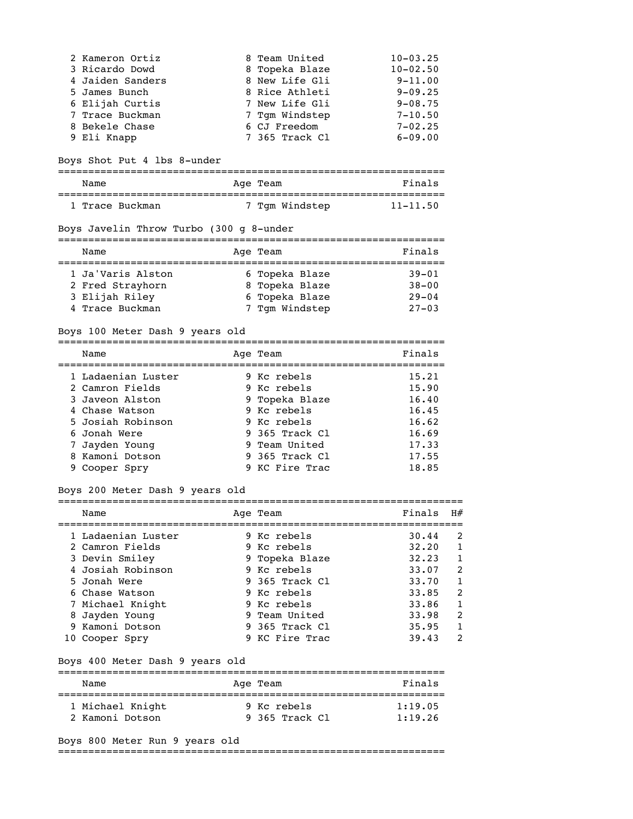| 2 Kameron Ortiz  | 8 Team United  | $10 - 03.25$ |
|------------------|----------------|--------------|
| 3 Ricardo Dowd   | 8 Topeka Blaze | $10 - 02.50$ |
| 4 Jaiden Sanders | 8 New Life Gli | $9 - 11.00$  |
| 5 James Bunch    | 8 Rice Athleti | $9 - 09.25$  |
| 6 Elijah Curtis  | 7 New Life Gli | $9 - 08.75$  |
| 7 Trace Buckman  | 7 Tgm Windstep | $7 - 10.50$  |
| 8 Bekele Chase   | 6 CJ Freedom   | $7 - 02.25$  |
| 9 Eli Knapp      | 7 365 Track Cl | $6 - 09.00$  |

Boys Shot Put 4 lbs 8-under

| Name            | Age Team       | Finals       |
|-----------------|----------------|--------------|
| 1 Trace Buckman | 7 Tqm Windstep | $11 - 11.50$ |

### Boys Javelin Throw Turbo (300 g 8-under

| Name              | Age Team       | Finals    |
|-------------------|----------------|-----------|
|                   |                |           |
| 1 Ja'Varis Alston | 6 Topeka Blaze | $39 - 01$ |
| 2 Fred Strayhorn  | 8 Topeka Blaze | $38 - 00$ |
| 3 Elijah Riley    | 6 Topeka Blaze | $29 - 04$ |
| 4 Trace Buckman   | 7 Tgm Windstep | $27 - 03$ |

# Boys 100 Meter Dash 9 years old

| Name               | Age Team       | Finals |
|--------------------|----------------|--------|
| 1 Ladaenian Luster | 9 Kc rebels    | 15.21  |
| 2 Camron Fields    | 9 Kc rebels    | 15.90  |
| 3 Javeon Alston    | 9 Topeka Blaze | 16.40  |
| 4 Chase Watson     | 9 Kc rebels    | 16.45  |
| 5 Josiah Robinson  | 9 Kc rebels    | 16.62  |
| 6 Jonah Were       | 9 365 Track Cl | 16.69  |
| 7 Jayden Young     | 9 Team United  | 17.33  |
| 8 Kamoni Dotson    | 9 365 Track Cl | 17.55  |
| 9 Cooper Spry      | 9 KC Fire Trac | 18.85  |

# Boys 200 Meter Dash 9 years old

| Name               |  | Age Team       | Finals | H#            |  |  |  |  |
|--------------------|--|----------------|--------|---------------|--|--|--|--|
|                    |  |                |        |               |  |  |  |  |
| 1 Ladaenian Luster |  | 9 Kc rebels    | 30.44  | 2             |  |  |  |  |
| 2 Camron Fields    |  | 9 Kc rebels    | 32.20  |               |  |  |  |  |
| 3 Devin Smiley     |  | 9 Topeka Blaze | 32.23  |               |  |  |  |  |
| 4 Josiah Robinson  |  | 9 Kc rebels    | 33.07  | $\mathcal{P}$ |  |  |  |  |
| 5 Jonah Were       |  | 9 365 Track Cl | 33.70  |               |  |  |  |  |
| 6 Chase Watson     |  | 9 Kc rebels    | 33.85  | 2             |  |  |  |  |
| 7 Michael Knight   |  | 9 Kc rebels    | 33.86  |               |  |  |  |  |
| 8 Jayden Young     |  | 9 Team United  | 33.98  | 2             |  |  |  |  |
| 9 Kamoni Dotson    |  | 9 365 Track Cl | 35.95  |               |  |  |  |  |
| 10 Cooper Spry     |  | 9 KC Fire Trac | 39.43  | າ             |  |  |  |  |

# Boys 400 Meter Dash 9 years old

| Name                                | Age Team                      | Finals             |
|-------------------------------------|-------------------------------|--------------------|
| 1 Michael Knight<br>2 Kamoni Dotson | 9 Kc rebels<br>9 365 Track Cl | 1:19.05<br>1:19.26 |

Boys 800 Meter Run 9 years old ================================================================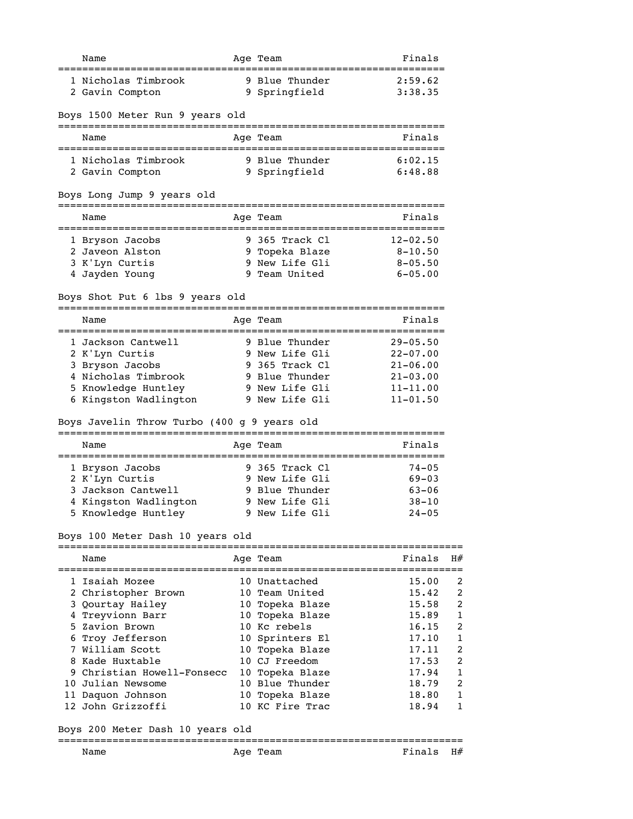|                                                                     | Age Team                           | Finals                             |        |
|---------------------------------------------------------------------|------------------------------------|------------------------------------|--------|
| ========================<br>1 Nicholas Timbrook                     | 9 Blue Thunder                     | =======================<br>2:59.62 |        |
| 2 Gavin Compton                                                     | 9 Springfield                      | 3:38.35                            |        |
| Boys 1500 Meter Run 9 years old                                     |                                    |                                    |        |
|                                                                     |                                    |                                    |        |
| Name                                                                | Aqe Team                           | Finals                             |        |
| 1 Nicholas Timbrook                                                 | 9 Blue Thunder                     | 6:02.15                            |        |
| 2 Gavin Compton                                                     | 9 Springfield                      | 6:48.88                            |        |
|                                                                     |                                    |                                    |        |
| Boys Long Jump 9 years old<br>===================================== |                                    | ======================             |        |
| Name                                                                | Age Team                           | Finals                             |        |
|                                                                     | :================                  | :=========================         |        |
| 1 Bryson Jacobs                                                     | 9 365 Track Cl                     | $12 - 02.50$                       |        |
| 2 Javeon Alston                                                     | 9 Topeka Blaze<br>9 New Life Gli   | $8 - 10.50$<br>$8 - 05.50$         |        |
| 3 K'Lyn Curtis<br>4 Jayden Young                                    | 9 Team United                      | $6 - 05.00$                        |        |
|                                                                     |                                    |                                    |        |
| Boys Shot Put 6 lbs 9 years old                                     |                                    |                                    |        |
| Name                                                                | Age Team                           | Finals                             |        |
| =====================================                               |                                    | ;============================      |        |
| 1 Jackson Cantwell<br>2 K'Lyn Curtis                                | 9 Blue Thunder<br>9 New Life Gli   | 29-05.50<br>$22 - 07.00$           |        |
| 3 Bryson Jacobs                                                     | 9 365 Track Cl                     | $21 - 06.00$                       |        |
| 4 Nicholas Timbrook                                                 | 9 Blue Thunder                     | $21 - 03.00$                       |        |
| 5 Knowledge Huntley                                                 | 9 New Life Gli                     | $11 - 11.00$                       |        |
| 6 Kingston Wadlington                                               | 9 New Life Gli                     | $11 - 01.50$                       |        |
| Boys Javelin Throw Turbo (400 g 9 years old                         |                                    |                                    |        |
| Name                                                                | Age Team                           | Finals                             |        |
|                                                                     |                                    |                                    |        |
|                                                                     |                                    |                                    |        |
| 1 Bryson Jacobs                                                     | 9 365 Track Cl                     | $74 - 05$                          |        |
| 2 K'Lyn Curtis                                                      | 9 New Life Gli                     | $69 - 03$                          |        |
| 3 Jackson Cantwell                                                  | 9 Blue Thunder                     | 63-06                              |        |
| 4 Kingston Wadlington                                               | 9 New Life Gli                     | $38 - 10$                          |        |
| 5 Knowledge Huntley                                                 | 9 New Life Gli                     | 24-05                              |        |
| Boys 100 Meter Dash 10 years old                                    |                                    |                                    |        |
| Name                                                                | Aqe Team                           | Finals                             | H#     |
| --------                                                            |                                    |                                    |        |
| 1 Isaiah Mozee                                                      | 10 Unattached<br>10 Team United    | 15.00<br>15.42                     | 2<br>2 |
| 2 Christopher Brown                                                 |                                    | 15.58                              | 2      |
| 3 Qourtay Hailey<br>4 Treyvionn Barr                                | 10 Topeka Blaze<br>10 Topeka Blaze | 15.89                              | 1      |
| 5 Zavion Brown                                                      | 10 Kc rebels                       | 16.15                              | 2      |
| 6 Troy Jefferson                                                    | 10 Sprinters El                    | 17.10                              | 1      |
| 7 William Scott                                                     | 10 Topeka Blaze                    | 17.11                              | 2      |
| 8 Kade Huxtable                                                     | 10 CJ Freedom                      | 17.53                              | 2      |
| 9 Christian Howell-Fonsecc                                          | 10 Topeka Blaze                    | 17.94                              | 1      |
| 10 Julian Newsome                                                   | 10 Blue Thunder                    | 18.79                              | 2      |
| 11 Daquon Johnson                                                   | 10 Topeka Blaze                    | 18.80                              | 1      |
| 12 John Grizzoffi                                                   | 10 KC Fire Trac                    | 18.94                              | 1      |
| Boys 200 Meter Dash 10 years old<br>----------------------------    |                                    |                                    |        |
| Name                                                                | Age Team                           | Finals                             | H#     |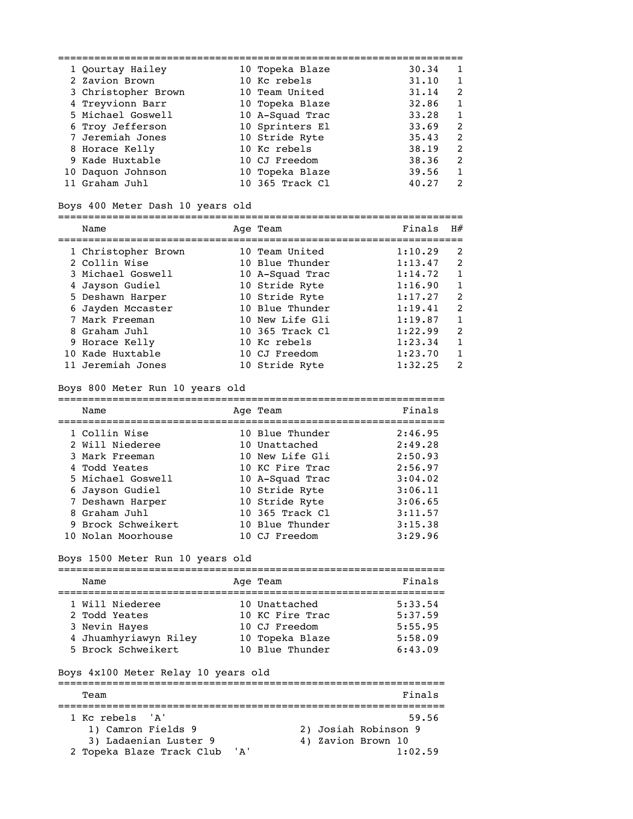| 1 Qourtay Hailey    | 10 Topeka Blaze | 30.34 |                |
|---------------------|-----------------|-------|----------------|
| 2 Zavion Brown      | 10 Kc rebels    | 31.10 |                |
| 3 Christopher Brown | 10 Team United  | 31.14 | 2              |
| 4 Treyvionn Barr    | 10 Topeka Blaze | 32.86 |                |
| 5 Michael Goswell   | 10 A-Squad Trac | 33.28 |                |
| 6 Troy Jefferson    | 10 Sprinters El | 33.69 | $\overline{2}$ |
| 7 Jeremiah Jones    | 10 Stride Ryte  | 35.43 | 2              |
| 8 Horace Kelly      | 10 Kc rebels    | 38.19 | 2              |
| 9 Kade Huxtable     | 10 CJ Freedom   | 38.36 | $\mathcal{P}$  |
| 10 Daquon Johnson   | 10 Topeka Blaze | 39.56 |                |
| 11 Graham Juhl      | 10 365 Track Cl | 40.27 | 2              |
|                     |                 |       |                |

#### Boys 400 Meter Dash 10 years old

===================================================================

| Name                | Age Team        | Finals  | H#             |
|---------------------|-----------------|---------|----------------|
| 1 Christopher Brown | 10 Team United  | 1:10.29 | 2              |
| 2 Collin Wise       | 10 Blue Thunder | 1:13.47 | 2              |
| 3 Michael Goswell   | 10 A-Squad Trac | 1:14.72 |                |
| 4 Jayson Gudiel     | 10 Stride Ryte  | 1:16.90 |                |
| 5 Deshawn Harper    | 10 Stride Ryte  | 1:17.27 | $\mathfrak{D}$ |
| 6 Jayden Mccaster   | 10 Blue Thunder | 1:19.41 | $\mathfrak{D}$ |
| 7 Mark Freeman      | 10 New Life Gli | 1:19.87 |                |
| 8 Graham Juhl       | 10 365 Track Cl | 1:22.99 | $\mathfrak{D}$ |
| 9 Horace Kelly      | 10 Kc rebels    | 1:23.34 | 1              |
| 10 Kade Huxtable    | 10 CJ Freedom   | 1:23.70 |                |
| 11 Jeremiah Jones   | 10 Stride Ryte  | 1:32.25 | 2              |

#### Boys 800 Meter Run 10 years old

================================================================ Name Reserves and Age Team Reserves and Finals ================================================================ 1 Collin Wise 10 Blue Thunder 2:46.95<br>
2 Will Niederee 10 Unattached 2:49.28<br>
3 Mark Freeman 10 New Life Gli 2:50.93<br>
4 Todd Yeates 10 KC Fire Trac 2:56.97 2 Will Niederee 10 Unattached 2:49.28 3 Mark Freeman 10 New Life Gli 2:50.93 4 Todd Yeates 10 KC Fire Trac 2:56.97 5 Michael Goswell 10 A-Squad Trac 3:04.02 6 Jayson Gudiel 10 Stride Ryte 3:06.11 7 Deshawn Harper 10 Stride Ryte 3:06.65 8 Graham Juhl 10 365 Track Cl 3:11.57 9 Brock Schweikert 10 Blue Thunder 3:15.38 10 Nolan Moorhouse 10 CJ Freedom 3:29.96

### Boys 1500 Meter Run 10 years old

| Name                                                                                             | Age Team                                                                                | Finals                                              |
|--------------------------------------------------------------------------------------------------|-----------------------------------------------------------------------------------------|-----------------------------------------------------|
| 1 Will Niederee<br>2 Todd Yeates<br>3 Nevin Hayes<br>4 Jhuamhyriawyn Riley<br>5 Brock Schweikert | 10 Unattached<br>10 KC Fire Trac<br>10 CJ Freedom<br>10 Topeka Blaze<br>10 Blue Thunder | 5:33.54<br>5:37.59<br>5:55.95<br>5:58.09<br>6:43.09 |

### Boys 4x100 Meter Relay 10 years old

| Team                                                           | Finals                                              |
|----------------------------------------------------------------|-----------------------------------------------------|
| 1 Kc rebels 'A'<br>1) Camron Fields 9<br>3) Ladaenian Luster 9 | 59.56<br>2) Josiah Robinson 9<br>4) Zavion Brown 10 |
| 2 Topeka Blaze Track Club<br>י ב <i>ו</i> י                    | 1:02.59                                             |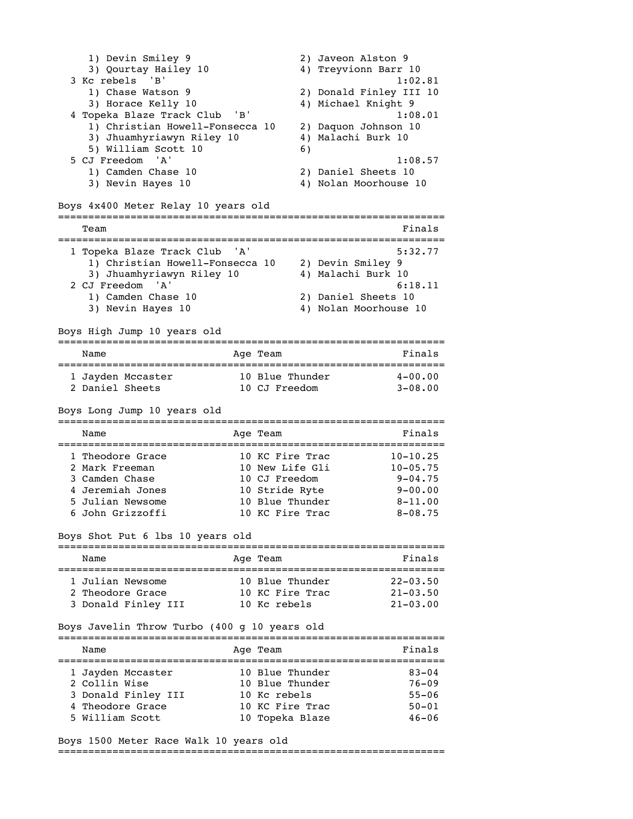1) Devin Smiley 9 2) Javeon Alston 9<br>3) Qourtay Hailey 10 4) Treyvionn Barr 10 3) Qourtay Hailey 10 3 Kc rebels 'B' 1:02.81 1) Chase Watson 9 2) Donald Finley III 10 3) Horace Kelly 10 4) Michael Knight 9 4 Topeka Blaze Track Club 'B' 1:08.01 1) Christian Howell-Fonsecca 10 2) Daquon Johnson 10 3) Jhuamhyriawyn Riley 10 4) Malachi Burk 10 5) William Scott 10 6) 5 CJ Freedom 'A' 1:08.57 1) Camden Chase 10 2) Daniel Sheets 10 3) Nevin Hayes 10 4) Nolan Moorhouse 10 Boys 4x400 Meter Relay 10 years old ================================================================ Team Finals ================================================================ 1 Topeka Blaze Track Club 'A' 5:32.77 1) Christian Howell-Fonsecca 10 2) Devin Smiley 9 3) Jhuamhyriawyn Riley 10 4) Malachi Burk 10 2 CJ Freedom 'A' 6:18.11 1) Camden Chase 10 2) Daniel Sheets 10 3) Nevin Hayes 10 4) Nolan Moorhouse 10 Boys High Jump 10 years old ================================================================ Name **Age Team** Age Team Finals ================================================================ 1 Jayden Mccaster 10 Blue Thunder 4-00.00 2 Daniel Sheets 10 CJ Freedom 3-08.00 Boys Long Jump 10 years old ================================================================ Name **Age Team Age Team** Finals ================================================================ 1 Theodore Grace 10 KC Fire Trac 10-10.25 2 Mark Freeman 10 New Life Gli 10-05.75 3 Camden Chase 10 CJ Freedom 9-04.75 4 Jeremiah Jones 10 Stride Ryte 9-00.00 5 Julian Newsome 10 Blue Thunder 8-11.00 6 John Grizzoffi 10 KC Fire Trac 8-08.75 Boys Shot Put 6 lbs 10 years old ================================================================ Name **Age Team** Age Team Finals ================================================================ 1 Julian Newsome 10 Blue Thunder 22-03.50 2 Theodore Grace 10 KC Fire Trac 21-03.50 3 Donald Finley III 10 Kc rebels 21-03.00 Boys Javelin Throw Turbo (400 g 10 years old ================================================================ Name Research Age Team Rinals ================================================================ 1 Jayden Mccaster 10 Blue Thunder 83-04 2 Collin Wise 10 Blue Thunder 76-09 3 Donald Finley III 10 Kc rebels 55-06 4 Theodore Grace 10 KC Fire Trac 50-01 5 William Scott 10 Topeka Blaze 46-06 Boys 1500 Meter Race Walk 10 years old

================================================================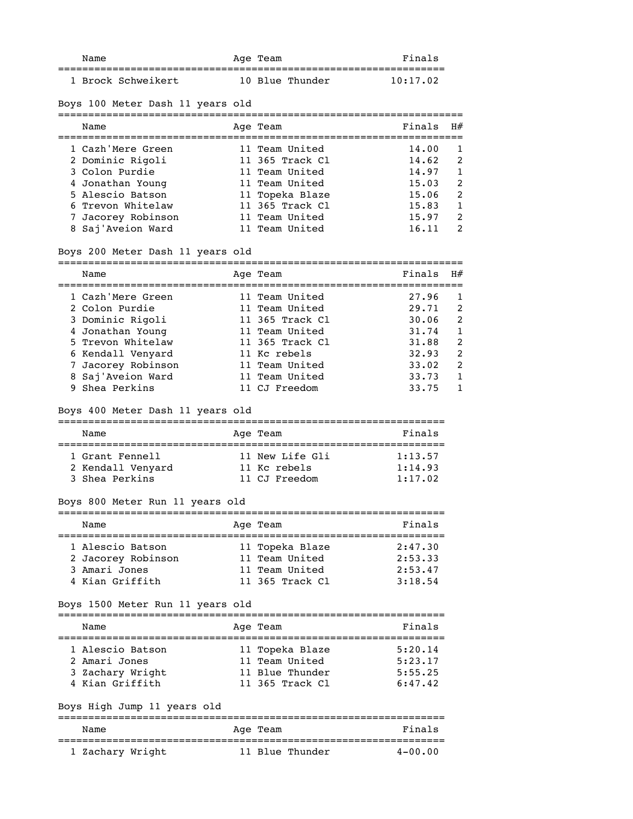| Name               | Age Team                           | Finale   |
|--------------------|------------------------------------|----------|
| ____               | ---------------------------------- |          |
| 1 Brock Schweikert | no Blue Thunder                    | 10:17.02 |

Boys 100 Meter Dash 11 years old

===================================================================

| Name                               | Age Team                          | Finals         | H#            |
|------------------------------------|-----------------------------------|----------------|---------------|
| 1 Cazh'Mere Green                  | 11 Team United                    | 14.00          |               |
| 2 Dominic Rigoli<br>3 Colon Purdie | 11 365 Track Cl<br>11 Team United | 14.62<br>14.97 | 2             |
| 4 Jonathan Young                   | 11 Team United                    | 15.03          | 2             |
| 5 Alescio Batson                   | 11 Topeka Blaze                   | 15.06          | 2             |
| 6 Trevon Whitelaw                  | 11 365 Track Cl                   | 15.83          |               |
| 7 Jacorey Robinson                 | 11 Team United                    | 15.97          | $\mathcal{P}$ |
| 8 Saj'Aveion Ward                  | 11 Team United                    | 16.11          |               |

#### Boys 200 Meter Dash 11 years old

=================================================================== Name and Age Team and Finals H# =================================================================== 1 Cazh'Mere Green 11 Team United 27.96 1 2 Colon Purdie 11 Team United 29.71 2 3 Dominic Rigoli 11 365 Track Cl 30.06 2 4 Jonathan Young 11 Team United 31.74 1 5 Trevon Whitelaw 11 365 Track Cl 31.88 2 6 Kendall Venyard 11 Kc rebels 32.93 2 7 Jacorey Robinson 11 Team United 33.02 2 8 Saj'Aveion Ward 11 Team United 33.73 1 9 Shea Perkins 11 CJ Freedom 33.75 1

### Boys 400 Meter Dash 11 years old

| Name              | Age Team        | Finals  |
|-------------------|-----------------|---------|
| 1 Grant Fennell   | 11 New Life Gli | 1:13.57 |
| 2 Kendall Venyard | 11 Kc rebels    | 1:14.93 |
| 3 Shea Perkins    | 11 CJ Freedom   | 1:17.02 |

#### Boys 800 Meter Run 11 years old

|  | Name               |  | Age Team        | Finals  |  |  |
|--|--------------------|--|-----------------|---------|--|--|
|  |                    |  |                 |         |  |  |
|  | 1 Alescio Batson   |  | 11 Topeka Blaze | 2:47.30 |  |  |
|  | 2 Jacorey Robinson |  | 11 Team United  | 2:53.33 |  |  |
|  | 3 Amari Jones      |  | 11 Team United  | 2:53.47 |  |  |
|  | 4 Kian Griffith    |  | 11 365 Track Cl | 3:18.54 |  |  |

### Boys 1500 Meter Run 11 years old

| Name                                                                     | Age Team                                                                | Finals                                   |
|--------------------------------------------------------------------------|-------------------------------------------------------------------------|------------------------------------------|
| 1 Alescio Batson<br>2 Amari Jones<br>3 Zachary Wright<br>4 Kian Griffith | 11 Topeka Blaze<br>11 Team United<br>11 Blue Thunder<br>11 365 Track Cl | 5:20.14<br>5:23.17<br>5:55.25<br>6:47.42 |

#### Boys High Jump 11 years old

| Name             | Age Team        | Finals      |
|------------------|-----------------|-------------|
| 1 Zachary Wright | 11 Blue Thunder | $4 - 00.00$ |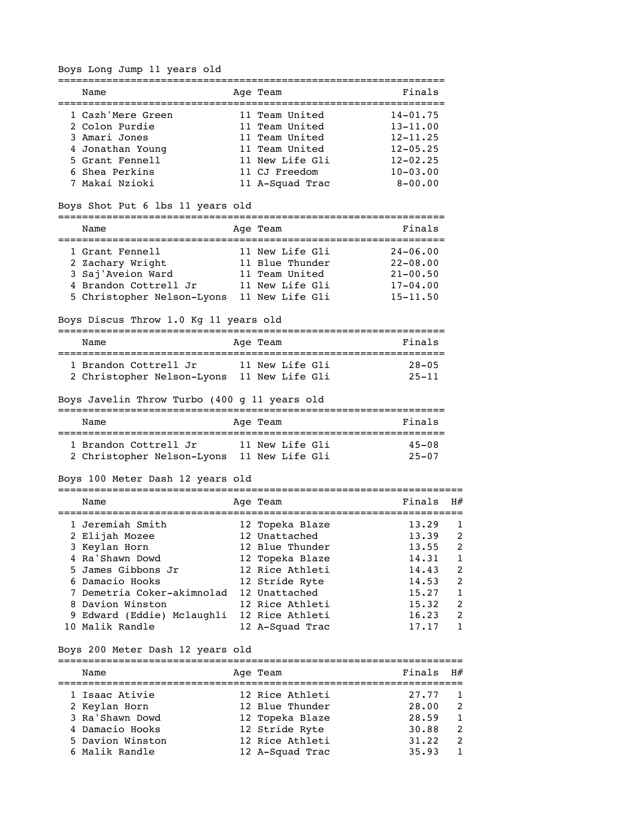Boys Long Jump 11 years old

| Name              | Age Team        | Finals       |
|-------------------|-----------------|--------------|
| 1 Cazh'Mere Green | 11 Team United  | $14 - 01.75$ |
| 2 Colon Purdie    | 11 Team United  | $13 - 11.00$ |
| 3 Amari Jones     | 11 Team United  | $12 - 11.25$ |
| 4 Jonathan Young  | 11 Team United  | $12 - 05.25$ |
| 5 Grant Fennell   | 11 New Life Gli | $12 - 02.25$ |
| 6 Shea Perkins    | 11 CJ Freedom   | $10 - 03.00$ |
| 7 Makai Nzioki    | 11 A-Squad Trac | $8 - 00.00$  |

================================================================

### Boys Shot Put 6 lbs 11 years old

================================================================

| Name                                                                                                            | Age Team                                                                                   | Finals                                                                       |
|-----------------------------------------------------------------------------------------------------------------|--------------------------------------------------------------------------------------------|------------------------------------------------------------------------------|
| 1 Grant Fennell<br>2 Zachary Wright<br>3 Saj'Aveion Ward<br>4 Brandon Cottrell Jr<br>5 Christopher Nelson-Lyons | 11 New Life Gli<br>11 Blue Thunder<br>11 Team United<br>11 New Life Gli<br>11 New Life Gli | $24 - 06.00$<br>$22 - 08.00$<br>$21 - 00.50$<br>$17 - 04.00$<br>$15 - 11.50$ |
|                                                                                                                 |                                                                                            |                                                                              |

Boys Discus Throw 1.0 Kg 11 years old

| Name                                                | Age Team                           | Finals                 |
|-----------------------------------------------------|------------------------------------|------------------------|
| 1 Brandon Cottrell Jr<br>2 Christopher Nelson-Lyons | 11 New Life Gli<br>11 New Life Gli | $28 - 05$<br>$25 - 11$ |

### Boys Javelin Throw Turbo (400 g 11 years old

| Name                                                | Age Team                           | Finals                 |
|-----------------------------------------------------|------------------------------------|------------------------|
| 1 Brandon Cottrell Jr<br>2 Christopher Nelson-Lyons | 11 New Life Gli<br>11 New Life Gli | $45 - 08$<br>$25 - 07$ |

### Boys 100 Meter Dash 12 years old

===================================================================

| Name                       | Age Team        | Finals | H#            |
|----------------------------|-----------------|--------|---------------|
|                            |                 |        |               |
| 1 Jeremiah Smith           | 12 Topeka Blaze | 13.29  |               |
| 2 Elijah Mozee             | 12 Unattached   | 13.39  | 2             |
| 3 Keylan Horn              | 12 Blue Thunder | 13.55  | $\mathcal{L}$ |
| 4 Ra'Shawn Dowd            | 12 Topeka Blaze | 14.31  |               |
| 5 James Gibbons Jr         | 12 Rice Athleti | 14.43  | $\mathcal{P}$ |
| 6 Damacio Hooks            | 12 Stride Ryte  | 14.53  | 2             |
| 7 Demetria Coker-akimnolad | 12 Unattached   | 15.27  |               |
| 8 Davion Winston           | 12 Rice Athleti | 15.32  | $\mathcal{L}$ |
| 9 Edward (Eddie) Mclaughli | 12 Rice Athleti | 16.23  | $\mathcal{L}$ |
| 10 Malik Randle            | 12 A-Squad Trac | 17.17  |               |

### Boys 200 Meter Dash 12 years old

===================================================================

| Name             | Age Team        | $Finals$ H# |                          |
|------------------|-----------------|-------------|--------------------------|
| 1 Isaac Ativie   | 12 Rice Athleti | 27.77       |                          |
| 2 Keylan Horn    | 12 Blue Thunder | 28.00       | $\mathcal{P}$            |
| 3 Ra'Shawn Dowd  | 12 Topeka Blaze | 28.59       |                          |
| 4 Damacio Hooks  | 12 Stride Ryte  | 30.88       | $\overline{\phantom{a}}$ |
| 5 Davion Winston | 12 Rice Athleti | 31.22       | $\mathcal{P}$            |
| 6 Malik Randle   | 12 A-Squad Trac | 35.93       |                          |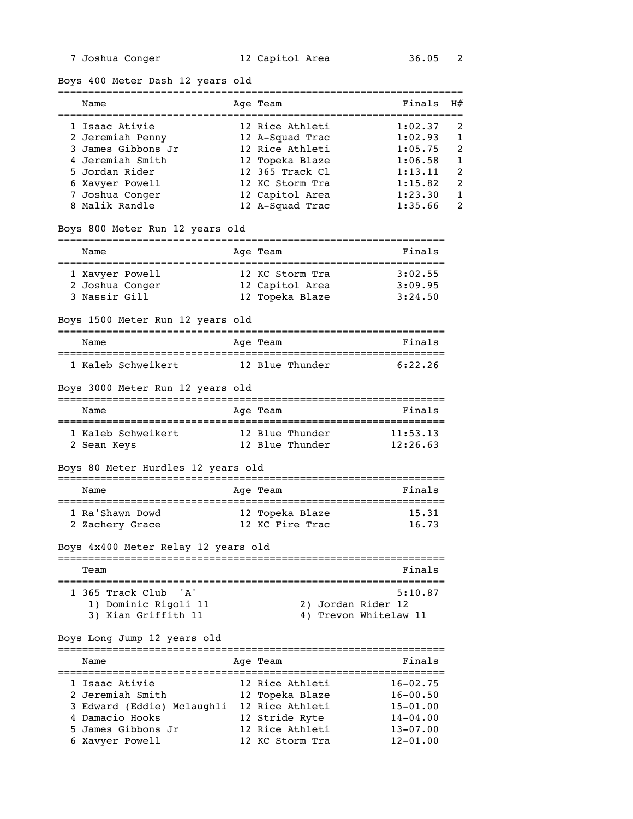Boys 400 Meter Dash 12 years old

| ==========                                    |  | ===========                        | ============================                |                |  |
|-----------------------------------------------|--|------------------------------------|---------------------------------------------|----------------|--|
| Name<br>------------------------------------- |  | Age Team                           | Finals<br>================================= | H#             |  |
|                                               |  |                                    |                                             |                |  |
| 1 Isaac Ativie                                |  | 12 Rice Athleti                    | 1:02.37                                     | 2<br>1         |  |
| 2 Jeremiah Penny<br>3 James Gibbons Jr        |  | 12 A-Squad Trac<br>12 Rice Athleti | 1:02.93<br>1:05.75                          | 2              |  |
| 4 Jeremiah Smith                              |  | 12 Topeka Blaze                    | 1:06.58                                     | 1              |  |
| 5 Jordan Rider                                |  | 12 365 Track Cl                    | 1:13.11                                     | 2              |  |
| 6 Xavyer Powell                               |  | 12 KC Storm Tra                    | 1:15.82                                     | 2              |  |
| 7 Joshua Conger                               |  | 12 Capitol Area                    | 1:23.30                                     | 1              |  |
| 8 Malik Randle                                |  | 12 A-Squad Trac                    | 1:35.66                                     | $\mathfrak{D}$ |  |
|                                               |  |                                    |                                             |                |  |
| Boys 800 Meter Run 12 years old               |  |                                    |                                             |                |  |
| Name                                          |  | Age Team                           | Finals                                      |                |  |
| 1 Xavyer Powell                               |  | 12 KC Storm Tra                    | 3:02.55                                     |                |  |
| 2 Joshua Conger                               |  | 12 Capitol Area                    | 3:09.95                                     |                |  |
| 3 Nassir Gill                                 |  | 12 Topeka Blaze                    | 3:24.50                                     |                |  |
| Boys 1500 Meter Run 12 years old              |  |                                    |                                             |                |  |
|                                               |  |                                    |                                             |                |  |
| Name                                          |  | Age Team                           | Finals                                      |                |  |
| 1 Kaleb Schweikert 12 Blue Thunder            |  |                                    | 6:22.26                                     |                |  |
|                                               |  |                                    |                                             |                |  |
| Boys 3000 Meter Run 12 years old              |  |                                    |                                             |                |  |
| Name                                          |  | Age Team                           | Finals                                      |                |  |
| 1 Kaleb Schweikert                            |  | 12 Blue Thunder                    | 11:53.13                                    |                |  |
| 2 Sean Keys                                   |  | 12 Blue Thunder                    | 12:26.63                                    |                |  |
|                                               |  |                                    |                                             |                |  |
| Boys 80 Meter Hurdles 12 years old            |  |                                    |                                             |                |  |
| Name                                          |  | Age Team                           | Finals                                      |                |  |
|                                               |  |                                    |                                             |                |  |
| 1 Ra'Shawn Dowd                               |  | 12 Topeka Blaze                    | 15.31                                       |                |  |
| 2 Zachery Grace                               |  | 12 KC Fire Trac                    | 16.73                                       |                |  |
| Boys 4x400 Meter Relay 12 years old           |  |                                    |                                             |                |  |
|                                               |  |                                    |                                             |                |  |
| Team                                          |  |                                    | Finals                                      |                |  |
| 1 365 Track Club<br>'A'                       |  |                                    | 5:10.87                                     |                |  |
| 1) Dominic Rigoli 11                          |  | 2) Jordan Rider 12                 |                                             |                |  |
| 3) Kian Griffith 11                           |  |                                    | 4) Trevon Whitelaw 11                       |                |  |
|                                               |  |                                    |                                             |                |  |
| Boys Long Jump 12 years old                   |  |                                    |                                             |                |  |
| Name                                          |  | Age Team                           | Finals                                      |                |  |
| 1 Isaac Ativie                                |  | 12 Rice Athleti                    | $16 - 02.75$                                |                |  |
| 2 Jeremiah Smith                              |  | 12 Topeka Blaze                    | $16 - 00.50$                                |                |  |
| 3 Edward (Eddie) Mclaughli                    |  | 12 Rice Athleti                    | $15 - 01.00$                                |                |  |
| 4 Damacio Hooks                               |  | 12 Stride Ryte                     | $14 - 04.00$                                |                |  |
| 5 James Gibbons Jr                            |  | 12 Rice Athleti                    | $13 - 07.00$                                |                |  |
| 6 Xavyer Powell                               |  | 12 KC Storm Tra                    | $12 - 01.00$                                |                |  |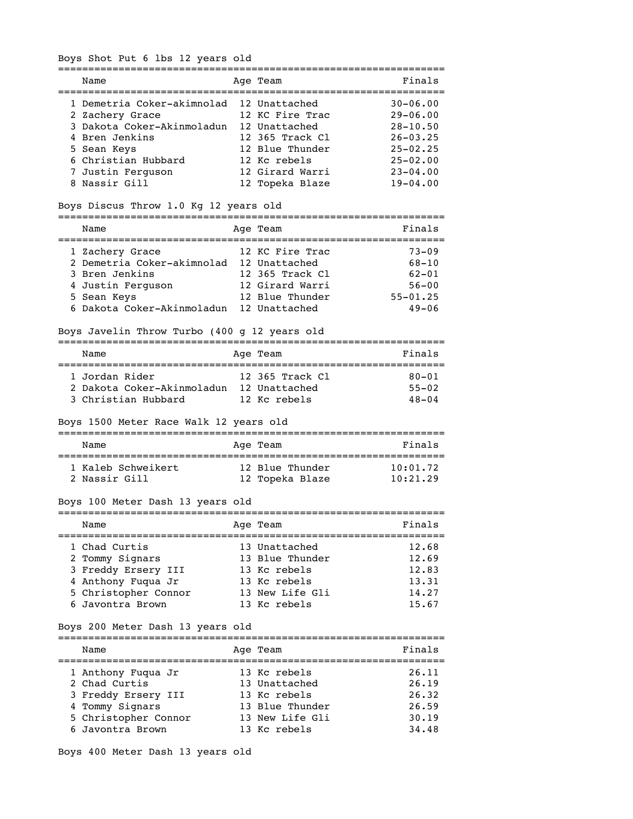Boys Shot Put 6 lbs 12 years old

| Name                                     | Age Team        | Finals       |
|------------------------------------------|-----------------|--------------|
| 1 Demetria Coker-akimnolad 12 Unattached |                 | $30 - 06.00$ |
| 2 Zachery Grace                          | 12 KC Fire Trac | $29 - 06.00$ |
| 3 Dakota Coker-Akinmoladun               | 12 Unattached   | $28 - 10.50$ |
| 4 Bren Jenkins                           | 12 365 Track Cl | $26 - 03.25$ |
| 5 Sean Keys                              | 12 Blue Thunder | $25 - 02.25$ |
| 6 Christian Hubbard                      | 12 Kc rebels    | $25 - 02.00$ |
| 7 Justin Ferguson                        | 12 Girard Warri | $23 - 04.00$ |
| 8 Nassir Gill                            | 12 Topeka Blaze | $19 - 04.00$ |
|                                          |                 |              |

### Boys Discus Throw 1.0 Kg 12 years old

================================================================

| Name                                                                                                                              | Age Team                                                                                                   | Finals                                                                        |
|-----------------------------------------------------------------------------------------------------------------------------------|------------------------------------------------------------------------------------------------------------|-------------------------------------------------------------------------------|
| 1 Zachery Grace<br>2 Demetria Coker-akimnolad<br>3 Bren Jenkins<br>4 Justin Ferguson<br>5 Sean Keys<br>6 Dakota Coker-Akinmoladun | 12 KC Fire Trac<br>12 Unattached<br>12 365 Track Cl<br>12 Girard Warri<br>12 Blue Thunder<br>12 Unattached | $73 - 09$<br>$68 - 10$<br>$62 - 01$<br>$56 - 00$<br>$55 - 01.25$<br>$49 - 06$ |

### Boys Javelin Throw Turbo (400 g 12 years old

| Name                                                                | Age Team                                         | Finals                              |
|---------------------------------------------------------------------|--------------------------------------------------|-------------------------------------|
| 1 Jordan Rider<br>2 Dakota Coker-Akinmoladun<br>3 Christian Hubbard | 12 365 Track Cl<br>12 Unattached<br>12 Kc rebels | $80 - 01$<br>$55 - 02$<br>$48 - 04$ |

### Boys 1500 Meter Race Walk 12 years old

| Name               | Age Team        | Finals   |
|--------------------|-----------------|----------|
|                    |                 |          |
| 1 Kaleb Schweikert | 12 Blue Thunder | 10:01.72 |
| 2 Nassir Gill      | 12 Topeka Blaze | 10:21.29 |

### Boys 100 Meter Dash 13 years old

| Name                 | Age Team        | Finals |
|----------------------|-----------------|--------|
| 1 Chad Curtis        | 13 Unattached   | 12.68  |
| 2 Tommy Signars      | 13 Blue Thunder | 12.69  |
| 3 Freddy Ersery III  | 13 Kc rebels    | 12.83  |
| 4 Anthony Fugua Jr   | 13 Kc rebels    | 13.31  |
| 5 Christopher Connor | 13 New Life Gli | 14.27  |
| 6 Javontra Brown     | 13 Kc rebels    | 15.67  |

### Boys 200 Meter Dash 13 years old

| Name                 | Age Team        | Finals |
|----------------------|-----------------|--------|
| 1 Anthony Fugua Jr   | 13 Kc rebels    | 26.11  |
| 2 Chad Curtis        | 13 Unattached   | 26.19  |
| 3 Freddy Ersery III  | 13 Kc rebels    | 26.32  |
| 4 Tommy Signars      | 13 Blue Thunder | 26.59  |
| 5 Christopher Connor | 13 New Life Gli | 30.19  |
| 6 Javontra Brown     | 13 Kc rebels    | 34.48  |

Boys 400 Meter Dash 13 years old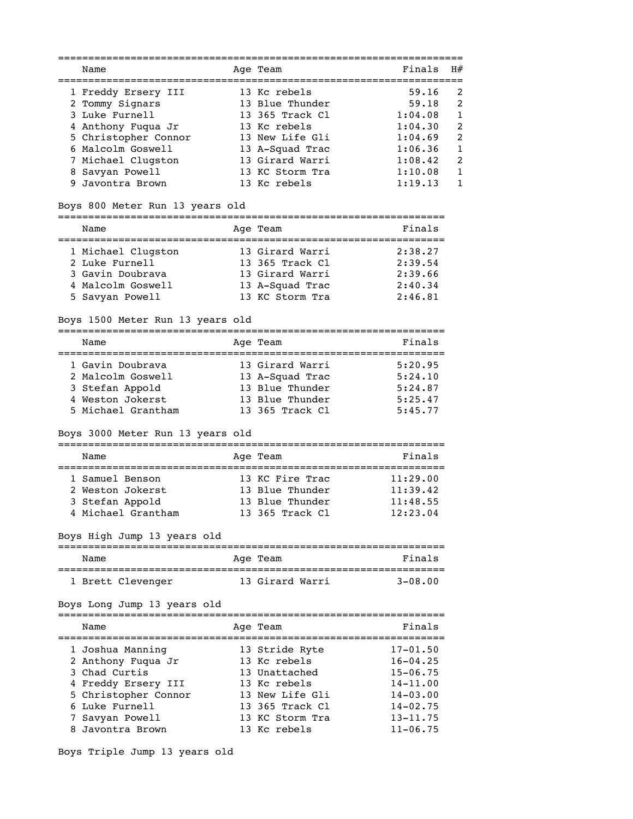| Name                 | Age Team        | Finals  | H#            |
|----------------------|-----------------|---------|---------------|
| 1 Freddy Ersery III  | 13 Kc rebels    | 59.16   | 2             |
| 2 Tommy Signars      | 13 Blue Thunder | 59.18   | $\mathcal{L}$ |
| 3 Luke Furnell       | 13 365 Track Cl | 1:04.08 |               |
| 4 Anthony Fugua Jr   | 13 Kc rebels    | 1:04.30 | $\mathcal{P}$ |
| 5 Christopher Connor | 13 New Life Gli | 1:04.69 | $\mathcal{P}$ |
| 6 Malcolm Goswell    | 13 A-Squad Trac | 1:06.36 |               |
| 7 Michael Clugston   | 13 Girard Warri | 1:08.42 | $\mathcal{P}$ |
| 8 Savyan Powell      | 13 KC Storm Tra | 1:10.08 |               |
| 9 Javontra Brown     | 13 Kc rebels    | 1:19.13 |               |
|                      |                 |         |               |

### Boys 800 Meter Run 13 years old

================================================================

| Name                                                                          | Age Team                                                                 | Finals                                   |
|-------------------------------------------------------------------------------|--------------------------------------------------------------------------|------------------------------------------|
| 1 Michael Clugston<br>2 Luke Furnell<br>3 Gavin Doubrava<br>4 Malcolm Goswell | 13 Girard Warri<br>13 365 Track Cl<br>13 Girard Warri<br>13 A-Squad Trac | 2:38.27<br>2:39.54<br>2:39.66<br>2:40.34 |
| 5 Savyan Powell                                                               | 13 KC Storm Tra                                                          | 2:46.81                                  |

### Boys 1500 Meter Run 13 years old

| Name                                   | Age Team                           | Finals             |
|----------------------------------------|------------------------------------|--------------------|
| 1 Gavin Doubrava<br>2 Malcolm Goswell  | 13 Girard Warri                    | 5:20.95<br>5:24.10 |
| 3 Stefan Appold                        | 13 A-Squad Trac<br>13 Blue Thunder | 5:24.87            |
| 4 Weston Jokerst<br>5 Michael Grantham | 13 Blue Thunder<br>13 365 Track Cl | 5:25.47<br>5:45.77 |

### Boys 3000 Meter Run 13 years old

| Name                                                                         | Age Team |                                                                          | Finals                                       |
|------------------------------------------------------------------------------|----------|--------------------------------------------------------------------------|----------------------------------------------|
| 1 Samuel Benson<br>2 Weston Jokerst<br>3 Stefan Appold<br>4 Michael Grantham |          | 13 KC Fire Trac<br>13 Blue Thunder<br>13 Blue Thunder<br>13 365 Track Cl | 11:29.00<br>11:39.42<br>11:48.55<br>12:23.04 |

# Boys High Jump 13 years old

| Name              | Age Team        | Finals  |
|-------------------|-----------------|---------|
|                   |                 |         |
| 1 Brett Clevenger | 13 Girard Warri | 3-08.00 |

# Boys Long Jump 13 years old

| Name                 | Age Team        | Finals       |
|----------------------|-----------------|--------------|
| 1 Joshua Manning     | 13 Stride Ryte  | $17 - 01.50$ |
| 2 Anthony Fugua Jr   | 13 Kc rebels    | $16 - 04.25$ |
| 3 Chad Curtis        | 13 Unattached   | $15 - 06.75$ |
| 4 Freddy Ersery III  | 13 Kc rebels    | $14 - 11.00$ |
| 5 Christopher Connor | 13 New Life Gli | $14 - 03.00$ |
| 6 Luke Furnell       | 13 365 Track Cl | $14 - 02.75$ |
| 7 Savyan Powell      | 13 KC Storm Tra | $13 - 11.75$ |
| 8 Javontra Brown     | 13 Kc rebels    | $11 - 06.75$ |

Boys Triple Jump 13 years old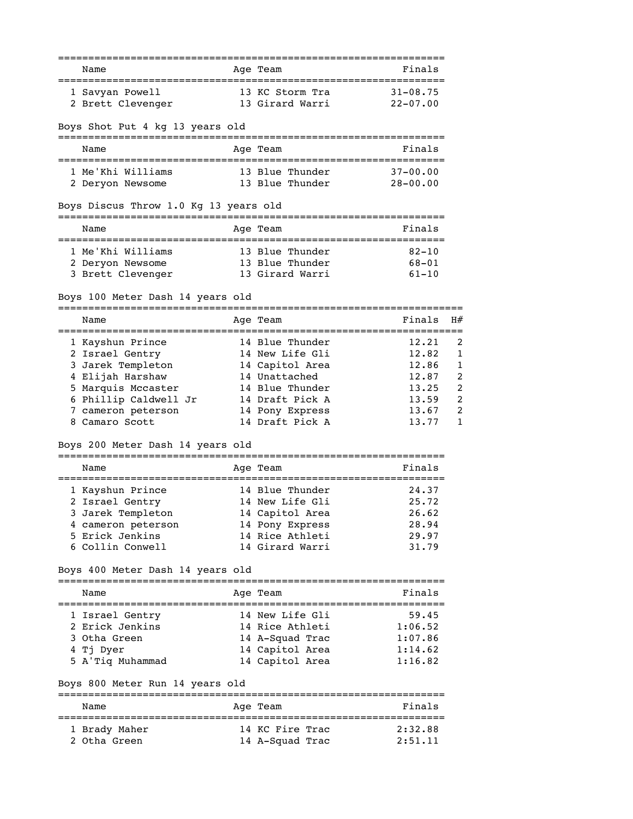| Name                                                                                                                                                                                                                                                                                                                 | Age Team                                                                                                                                                                                                                                                      | :=======================<br>Finals                                                                                          |                                      |
|----------------------------------------------------------------------------------------------------------------------------------------------------------------------------------------------------------------------------------------------------------------------------------------------------------------------|---------------------------------------------------------------------------------------------------------------------------------------------------------------------------------------------------------------------------------------------------------------|-----------------------------------------------------------------------------------------------------------------------------|--------------------------------------|
| 1 Savyan Powell<br>2 Brett Clevenger                                                                                                                                                                                                                                                                                 | 13 KC Storm Tra<br>13 Girard Warri                                                                                                                                                                                                                            | $31 - 08.75$<br>$22 - 07.00$                                                                                                |                                      |
| Boys Shot Put 4 kg 13 years old                                                                                                                                                                                                                                                                                      |                                                                                                                                                                                                                                                               |                                                                                                                             |                                      |
| Name                                                                                                                                                                                                                                                                                                                 | Aqe Team                                                                                                                                                                                                                                                      | Finals                                                                                                                      |                                      |
| 1 Me'Khi Williams<br>2 Deryon Newsome                                                                                                                                                                                                                                                                                | 13 Blue Thunder<br>13 Blue Thunder                                                                                                                                                                                                                            | $37 - 00.00$<br>$28 - 00.00$                                                                                                |                                      |
| Boys Discus Throw 1.0 Kg 13 years old                                                                                                                                                                                                                                                                                |                                                                                                                                                                                                                                                               |                                                                                                                             |                                      |
| Name                                                                                                                                                                                                                                                                                                                 | Age Team                                                                                                                                                                                                                                                      | Finals                                                                                                                      |                                      |
| 1 Me'Khi Williams<br>2 Deryon Newsome<br>3 Brett Clevenger                                                                                                                                                                                                                                                           | 13 Blue Thunder<br>13 Blue Thunder<br>13 Girard Warri                                                                                                                                                                                                         | $82 - 10$<br>68-01<br>$61 - 10$                                                                                             |                                      |
| Boys 100 Meter Dash 14 years old                                                                                                                                                                                                                                                                                     |                                                                                                                                                                                                                                                               |                                                                                                                             |                                      |
| Name                                                                                                                                                                                                                                                                                                                 | Age Team                                                                                                                                                                                                                                                      | Finals                                                                                                                      | H#                                   |
| 1 Kayshun Prince<br>2 Israel Gentry<br>3 Jarek Templeton<br>4 Elijah Harshaw<br>5 Marquis Mccaster<br>6 Phillip Caldwell Jr<br>7 cameron peterson<br>8 Camaro Scott<br>Boys 200 Meter Dash 14 years old<br>Name<br>1 Kayshun Prince<br>2 Israel Gentry<br>3 Jarek Templeton<br>4 cameron peterson<br>5 Erick Jenkins | 14 Blue Thunder<br>14 New Life Gli<br>14 Capitol Area<br>14 Unattached<br>14 Blue Thunder<br>14 Draft Pick A<br>14 Pony Express<br>14 Draft Pick A<br>Aqe Team<br>14 Blue Thunder<br>14 New Life Gli<br>14 Capitol Area<br>14 Pony Express<br>14 Rice Athleti | 12.21<br>12.82<br>12.86<br>12.87<br>13.25<br>13.59<br>13.67<br>13.77<br>Finals<br>24.37<br>25.72<br>26.62<br>28.94<br>29.97 | 2<br>1<br>1<br>2<br>2<br>2<br>2<br>1 |
| 6 Collin Conwell<br>Boys 400 Meter Dash 14 years old                                                                                                                                                                                                                                                                 | 14 Girard Warri                                                                                                                                                                                                                                               | 31.79                                                                                                                       |                                      |
| Name                                                                                                                                                                                                                                                                                                                 | Age Team                                                                                                                                                                                                                                                      | Finals                                                                                                                      |                                      |
| 1 Israel Gentry<br>2 Erick Jenkins<br>3 Otha Green<br>4 Tj Dyer<br>5 A'Tiq Muhammad                                                                                                                                                                                                                                  | 14 New Life Gli<br>14 Rice Athleti<br>14 A-Squad Trac<br>14 Capitol Area<br>14 Capitol Area                                                                                                                                                                   | 59.45<br>1:06.52<br>1:07.86<br>1:14.62<br>1:16.82                                                                           |                                      |
| Boys 800 Meter Run 14 years old                                                                                                                                                                                                                                                                                      |                                                                                                                                                                                                                                                               |                                                                                                                             |                                      |
| Name                                                                                                                                                                                                                                                                                                                 | Age Team                                                                                                                                                                                                                                                      | Finals                                                                                                                      |                                      |
| 1 Brady Maher<br>2 Otha Green                                                                                                                                                                                                                                                                                        | 14 KC Fire Trac<br>14 A-Squad Trac                                                                                                                                                                                                                            | 2:32.88<br>2:51.11                                                                                                          |                                      |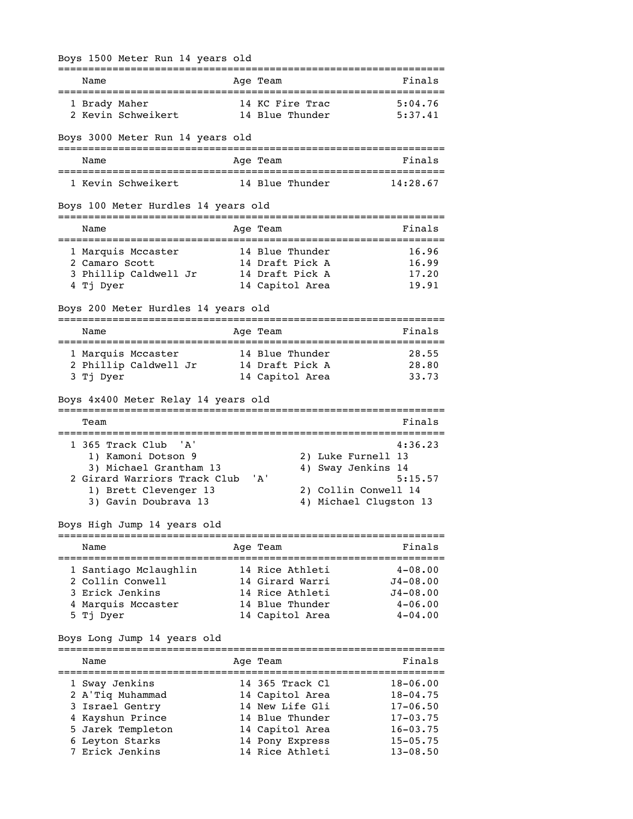| Boys 1500 Meter Run 14 years old          |          |                                        |                              |
|-------------------------------------------|----------|----------------------------------------|------------------------------|
| Name<br>_______________________           | -------- | Age Team<br>_____________________      | Finals                       |
| 1 Brady Maher                             |          | 14 KC Fire Trac                        | 5:04.76                      |
| 2 Kevin Schweikert                        |          | 14 Blue Thunder                        | 5:37.41                      |
| Boys 3000 Meter Run 14 years old          |          |                                        |                              |
| Name                                      |          | Age Team                               | Finals                       |
| 1 Kevin Schweikert                        |          | 14 Blue Thunder                        | 14:28.67                     |
| Boys 100 Meter Hurdles 14 years old       |          |                                        |                              |
| Name                                      |          | ===============<br>Age Team            | Finals                       |
| ============================              |          | -------------------------------------- |                              |
| 1 Marquis Mccaster                        |          | 14 Blue Thunder                        | 16.96                        |
| 2 Camaro Scott<br>3 Phillip Caldwell Jr   |          | 14 Draft Pick A<br>14 Draft Pick A     | 16.99<br>17.20               |
| 4 Tj Dyer                                 |          | 14 Capitol Area                        | 19.91                        |
| Boys 200 Meter Hurdles 14 years old       |          |                                        |                              |
|                                           |          |                                        | :===========                 |
| Name<br>=============================     |          | Age Team<br>========================   | Finals                       |
| 1 Marquis Mccaster                        |          | 14 Blue Thunder                        | 28.55                        |
| 2 Phillip Caldwell Jr                     |          | 14 Draft Pick A                        | 28.80                        |
| 3 Tj Dyer                                 |          | 14 Capitol Area                        | 33.73                        |
| Boys 4x400 Meter Relay 14 years old       |          |                                        |                              |
| Team                                      |          |                                        | Finals                       |
| 1 365 Track Club<br>' A '                 |          |                                        | 4:36.23                      |
| 1) Kamoni Dotson 9                        |          |                                        |                              |
|                                           |          | 2) Luke Furnell 13                     |                              |
| 3) Michael Grantham 13                    |          | 4) Sway Jenkins 14                     |                              |
| 2 Girard Warriors Track Club              |          | 'A'                                    | 5:15.57                      |
| 1) Brett Clevenger 13                     |          | 2) Collin Conwell 14                   |                              |
| 3) Gavin Doubrava 13                      |          | 4) Michael Clugston 13                 |                              |
| Boys High Jump 14 years old<br>_________  |          |                                        |                              |
| Name                                      |          | Age Team                               | Finals                       |
| ;=====================                    |          | 14 Rice Athleti                        | $4 - 08.00$                  |
| 1 Santiago Mclaughlin<br>2 Collin Conwell |          | 14 Girard Warri                        | $J4 - 08.00$                 |
| 3 Erick Jenkins                           |          | 14 Rice Athleti                        | $J4 - 08.00$                 |
| 4 Marquis Mccaster                        |          | 14 Blue Thunder                        | $4 - 06.00$                  |
| 5 Tj Dyer                                 |          | 14 Capitol Area                        | $4 - 04.00$                  |
| Boys Long Jump 14 years old               |          |                                        |                              |
| ================================<br>Name  |          | Age Team                               | Finals                       |
| =============================             |          | ------------<br>14 365 Track Cl        |                              |
| 1 Sway Jenkins<br>2 A'Tiq Muhammad        |          | 14 Capitol Area                        | $18 - 06.00$<br>$18 - 04.75$ |
| 3 Israel Gentry                           |          | 14 New Life Gli                        | $17 - 06.50$                 |
| 4 Kayshun Prince                          |          | 14 Blue Thunder                        | $17 - 03.75$                 |
| 5 Jarek Templeton                         |          | 14 Capitol Area                        | $16 - 03.75$                 |
| 6 Leyton Starks<br>7 Erick Jenkins        |          | 14 Pony Express<br>14 Rice Athleti     | $15 - 05.75$<br>$13 - 08.50$ |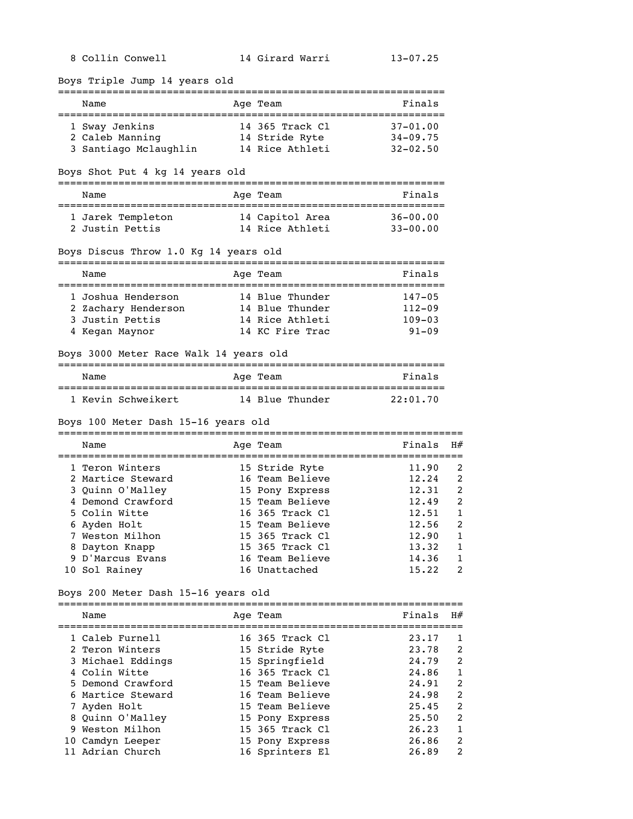| Boys Triple Jump 14 years old                            |                                    |                |              |
|----------------------------------------------------------|------------------------------------|----------------|--------------|
| Name                                                     | Age Team                           | Finals         |              |
| 1 Sway Jenkins                                           | 14 365 Track Cl                    | $37 - 01.00$   |              |
| 2 Caleb Manning<br>3 Santiago Mclaughlin 14 Rice Athleti |                                    | $34 - 09.75$   |              |
|                                                          |                                    | $32 - 02.50$   |              |
| Boys Shot Put 4 kg 14 years old                          |                                    |                |              |
| Name                                                     | Age Team                           | Finals         |              |
|                                                          |                                    | $36 - 00.00$   |              |
|                                                          |                                    | $33 - 00.00$   |              |
| Boys Discus Throw 1.0 Kg 14 years old                    |                                    |                |              |
| Name                                                     | Age Team                           | Finals         |              |
| 1 Joshua Henderson                                       | 14 Blue Thunder                    | $147 - 05$     |              |
| 2 Zachary Henderson 14 Blue Thunder                      |                                    | 112-09         |              |
| 3 Justin Pettis                                          | 14 Rice Athleti                    | 109-03         |              |
| 4 Kegan Maynor                                           | 14 KC Fire Trac                    | 91-09          |              |
| Boys 3000 Meter Race Walk 14 years old                   |                                    |                |              |
| Name                                                     | Age Team                           | Finals         |              |
| 1 Kevin Schweikert 14 Blue Thunder 22:01.70              |                                    |                |              |
| Boys 100 Meter Dash 15-16 years old                      |                                    |                |              |
| Name                                                     | Age Team                           | Finals         | H#           |
| 1 Teron Winters                                          | 15 Stride Ryte                     | 11.90          | 2            |
| 2 Martice Steward                                        | 16 Team Believe                    | 12.24          | 2            |
| 3 Quinn O'Malley                                         | 15 Pony Express                    | 12.31          | 2            |
| 4 Demond Crawford                                        | 15 Team Believe                    | 12.49          | 2            |
| 5 Colin Witte<br>6 Ayden Holt                            | 16 365 Track Cl<br>15 Team Believe | 12.51<br>12.56 | 1<br>2       |
| 7 Weston Milhon                                          | 15 365 Track Cl                    | 12.90          | 1            |
| 8 Dayton Knapp                                           | 15 365 Track Cl                    | 13.32          | 1            |
| 9 D'Marcus Evans                                         | 16 Team Believe                    | 14.36          | $\mathbf{1}$ |
| 10 Sol Rainey                                            | 16 Unattached                      | 15.22          | 2            |
| Boys 200 Meter Dash 15-16 years old                      |                                    |                |              |
| Name                                                     | Age Team                           | Finals         | H#           |
|                                                          |                                    |                |              |
| 1 Caleb Furnell                                          | 16 365 Track Cl                    | 23.17          | 1            |
| 2 Teron Winters<br>3 Michael Eddings                     | 15 Stride Ryte                     | 23.78<br>24.79 | 2<br>2       |
|                                                          | 15 Springfield                     |                |              |
|                                                          |                                    |                |              |
| 4 Colin Witte<br>5 Demond Crawford                       | 16 365 Track Cl<br>15 Team Believe | 24.86<br>24.91 | 1<br>2       |
| 6 Martice Steward                                        | 16 Team Believe                    | 24.98          | 2            |
| 7 Ayden Holt                                             | 15 Team Believe                    | 25.45          | 2            |
| 8 Quinn O'Malley                                         | 15 Pony Express                    | 25.50          | 2            |
| 9 Weston Milhon                                          | 15 365 Track Cl                    | 26.23          | 1            |
| 10 Camdyn Leeper<br>11 Adrian Church                     | 15 Pony Express<br>16 Sprinters El | 26.86<br>26.89 | 2<br>2       |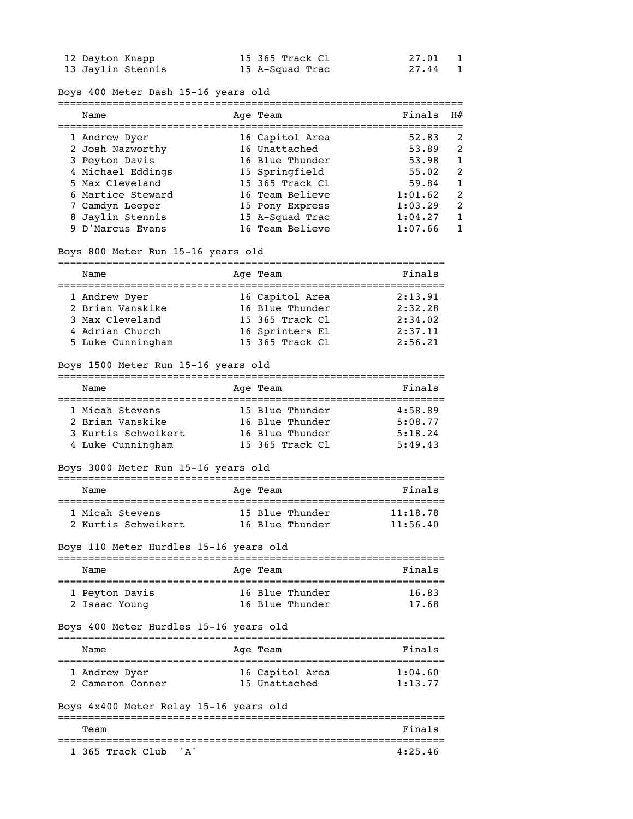| 12 Dayton Knapp   | 15 365 Track Cl | 27.01   |  |
|-------------------|-----------------|---------|--|
| 13 Jaylin Stennis | 15 A-Squad Trac | 27.44 1 |  |

## Boys 400 Meter Dash 15-16 years old

| Name              | Age Team        | Finals  | H# |
|-------------------|-----------------|---------|----|
| 1 Andrew Dyer     | 16 Capitol Area | 52.83   | 2  |
| 2 Josh Nazworthy  | 16 Unattached   | 53.89   | 2  |
| 3 Peyton Davis    | 16 Blue Thunder | 53.98   |    |
| 4 Michael Eddings | 15 Springfield  | 55.02   | 2  |
| 5 Max Cleveland   | 15 365 Track Cl | 59.84   |    |
| 6 Martice Steward | 16 Team Believe | 1:01.62 | 2  |
| 7 Camdyn Leeper   | 15 Pony Express | 1:03.29 | 2  |
| 8 Jaylin Stennis  | 15 A-Squad Trac | 1:04.27 |    |
| D'Marcus Evans    | 16 Team Believe | 1:07.66 |    |

### Boys 800 Meter Run 15-16 years old

| Name              | Age Team        | Finals  |
|-------------------|-----------------|---------|
|                   |                 |         |
| 1 Andrew Dyer     | 16 Capitol Area | 2:13.91 |
| 2 Brian Vanskike  | 16 Blue Thunder | 2:32.28 |
| 3 Max Cleveland   | 15 365 Track Cl | 2:34.02 |
| 4 Adrian Church   | 16 Sprinters El | 2:37.11 |
| 5 Luke Cunningham | 15 365 Track Cl | 2:56.21 |

### Boys 1500 Meter Run 15-16 years old

| Name                                                                            |  | Age Team                                                                 | Finals                                   |  |  |  |
|---------------------------------------------------------------------------------|--|--------------------------------------------------------------------------|------------------------------------------|--|--|--|
| 1 Micah Stevens<br>2 Brian Vanskike<br>3 Kurtis Schweikert<br>4 Luke Cunningham |  | 15 Blue Thunder<br>16 Blue Thunder<br>16 Blue Thunder<br>15 365 Track Cl | 4:58.89<br>5:08.77<br>5:18.24<br>5:49.43 |  |  |  |

# Boys 3000 Meter Run 15-16 years old

| Name                | Age Team        | Finals   |
|---------------------|-----------------|----------|
| 1 Micah Stevens     | 15 Blue Thunder | 11:18.78 |
| 2 Kurtis Schweikert | 16 Blue Thunder | 11:56.40 |

### Boys 110 Meter Hurdles 15-16 years old

| Name                            | Age Team                           | Finals         |
|---------------------------------|------------------------------------|----------------|
| 1 Peyton Davis<br>2 Isaac Young | 16 Blue Thunder<br>16 Blue Thunder | 16.83<br>17.68 |

### Boys 400 Meter Hurdles 15-16 years old

| Name                              | Age Team                         | Finals             |
|-----------------------------------|----------------------------------|--------------------|
| 1 Andrew Dyer<br>2 Cameron Conner | 16 Capitol Area<br>15 Unattached | 1:04.60<br>1:13.77 |

### Boys 4x400 Meter Relay 15-16 years old

================================================================ Team Finals ================================================================ 1 365 Track Club  $'A'$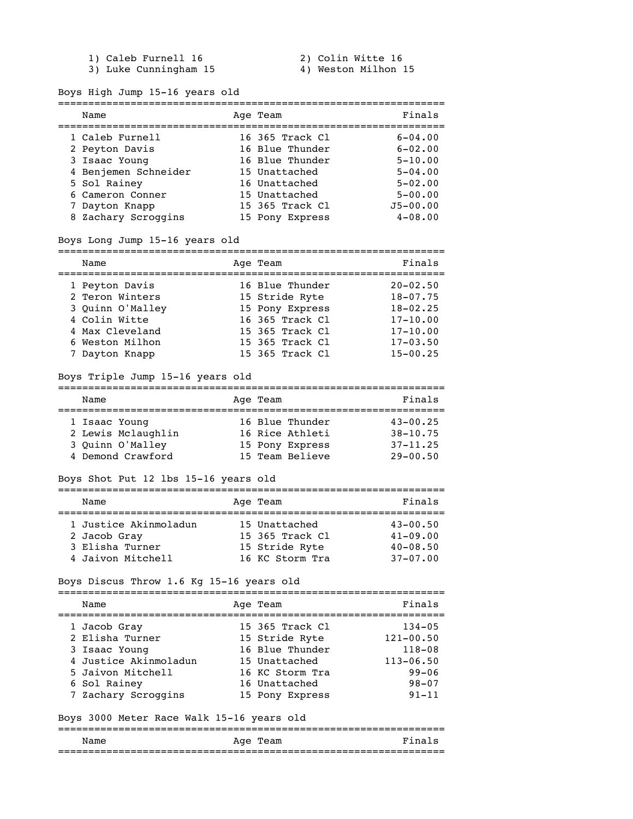1) Caleb Furnell 16 2) Colin Witte 16<br>3) Luke Cunningham 15 4) Weston Milhon 15

 $3)$  Luke Cunningham 15

#### Boys High Jump 15-16 years old

| Name                 | Age Team        | Finals       |
|----------------------|-----------------|--------------|
| 1 Caleb Furnell      | 16 365 Track Cl | $6 - 04.00$  |
| 2 Peyton Davis       | 16 Blue Thunder | $6 - 02.00$  |
| 3 Isaac Young        | 16 Blue Thunder | $5 - 10.00$  |
| 4 Benjemen Schneider | 15 Unattached   | $5 - 04.00$  |
| 5 Sol Rainey         | 16 Unattached   | $5 - 02.00$  |
| 6 Cameron Conner     | 15 Unattached   | $5 - 00.00$  |
| 7 Dayton Knapp       | 15 365 Track Cl | $J5 - 00.00$ |
| 8 Zachary Scroggins  | 15 Pony Express | $4 - 08.00$  |

#### Boys Long Jump 15-16 years old

================================================================

| Name                                                                                      | Age Team                                                                                   | Finals                                                                       |
|-------------------------------------------------------------------------------------------|--------------------------------------------------------------------------------------------|------------------------------------------------------------------------------|
| 1 Peyton Davis<br>2 Teron Winters<br>3 Ouinn O'Malley<br>4 Colin Witte<br>4 Max Cleveland | 16 Blue Thunder<br>15 Stride Ryte<br>15 Pony Express<br>16 365 Track Cl<br>15 365 Track Cl | $20 - 02.50$<br>$18 - 07.75$<br>$18 - 02.25$<br>$17 - 10.00$<br>$17 - 10.00$ |
| 6 Weston Milhon                                                                           | 15 365 Track Cl                                                                            | $17 - 03.50$                                                                 |
|                                                                                           | 15 365 Track Cl                                                                            |                                                                              |
| 7 Dayton Knapp                                                                            |                                                                                            | $15 - 00.25$                                                                 |

#### Boys Triple Jump 15-16 years old

================================================================

| Name               | Age Team        | Finals       |
|--------------------|-----------------|--------------|
| 1 Isaac Young      | 16 Blue Thunder | $43 - 00.25$ |
| 2 Lewis Mclaughlin | 16 Rice Athleti | $38 - 10.75$ |
| 3 Quinn O'Malley   | 15 Pony Express | $37 - 11.25$ |
| 4 Demond Crawford  | 15 Team Believe | $29 - 00.50$ |

### Boys Shot Put 12 lbs 15-16 years old

### ================================================================ Name Ream Age Team Readers Readers Readers Readers Readers Readers Readers Readers Readers Readers Readers Readers Readers Readers Readers Readers Readers Readers Readers Readers Readers Readers Readers Readers Readers Rea ================================================================ 1 Justice Akinmoladun 15 Unattached 43-00.50 2 Jacob Gray 15 365 Track Cl 41-09.00

| 3 Elisha Turner   | 15 Stride Ryte  | $40 - 08.50$ |
|-------------------|-----------------|--------------|
| 4 Jaivon Mitchell | 16 KC Storm Tra | 37-07.00     |

#### Boys Discus Throw 1.6 Kg 15-16 years old

================================================================

| Name                                                                                                           | Age Team                                                                                                  | Finals                                                                               |
|----------------------------------------------------------------------------------------------------------------|-----------------------------------------------------------------------------------------------------------|--------------------------------------------------------------------------------------|
| 1 Jacob Gray<br>2 Elisha Turner<br>3 Isaac Young<br>4 Justice Akinmoladun<br>5 Jaivon Mitchell<br>6 Sol Rainey | 15 365 Track Cl<br>15 Stride Ryte<br>16 Blue Thunder<br>15 Unattached<br>16 KC Storm Tra<br>16 Unattached | $134 - 05$<br>$121 - 00.50$<br>$118 - 08$<br>$113 - 06.50$<br>$99 - 06$<br>$98 - 07$ |
| 7 Zachary Scroggins                                                                                            | 15 Pony Express                                                                                           | $91 - 11$                                                                            |

#### Boys 3000 Meter Race Walk 15-16 years old

#### ================================================================ Name **Age Team Age Team Finals**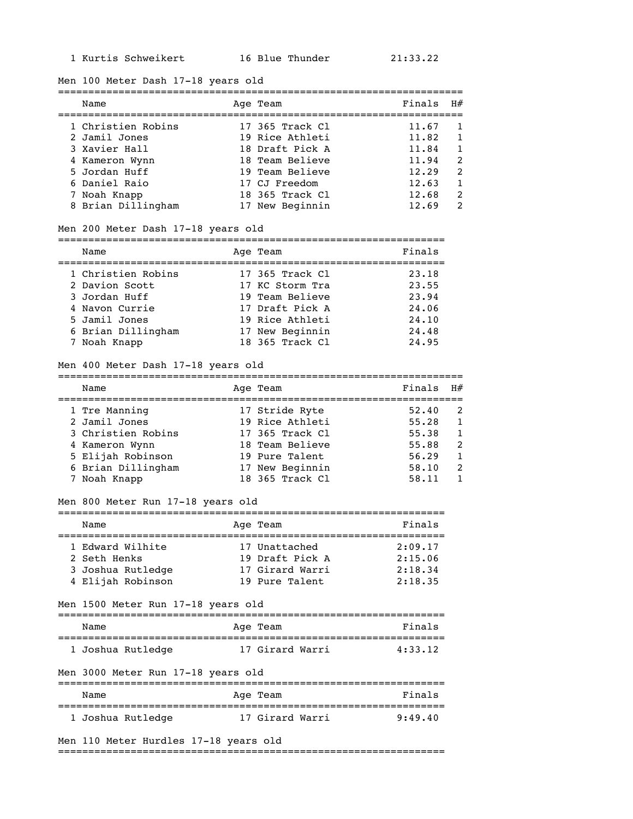#### Men 100 Meter Dash 17-18 years old

|  | Name                                                                                    |  | Age Team                                                                                    | Finals                                    | H#            |  |  |
|--|-----------------------------------------------------------------------------------------|--|---------------------------------------------------------------------------------------------|-------------------------------------------|---------------|--|--|
|  | 1 Christien Robins<br>2 Jamil Jones<br>3 Xavier Hall<br>4 Kameron Wynn<br>5 Jordan Huff |  | 17 365 Track Cl<br>19 Rice Athleti<br>18 Draft Pick A<br>18 Team Believe<br>19 Team Believe | 11.67<br>11.82<br>11.84<br>11.94<br>12.29 | 2<br>2        |  |  |
|  | 6 Daniel Raio<br>7 Noah Knapp<br>8 Brian Dillingham                                     |  | 17 CJ Freedom<br>18 365 Track Cl<br>17 New Beginnin                                         | 12.63<br>12.68<br>12.69                   | $\mathcal{P}$ |  |  |

#### Men 200 Meter Dash 17-18 years old

| Name               |  | Age Team        | Finals |  |  |  |
|--------------------|--|-----------------|--------|--|--|--|
| 1 Christien Robins |  | 17 365 Track Cl | 23.18  |  |  |  |
| 2 Davion Scott     |  | 17 KC Storm Tra | 23.55  |  |  |  |
| 3 Jordan Huff      |  | 19 Team Believe | 23.94  |  |  |  |
| 4 Navon Currie     |  | 17 Draft Pick A | 24,06  |  |  |  |
| 5 Jamil Jones      |  | 19 Rice Athleti | 24.10  |  |  |  |
| 6 Brian Dillingham |  | 17 New Beginnin | 24.48  |  |  |  |
| 7 Noah Knapp       |  | 18 365 Track Cl | 24.95  |  |  |  |

#### Men 400 Meter Dash 17-18 years old

| Name               |  | Age Team        | Finals | H# |  |  |  |  |
|--------------------|--|-----------------|--------|----|--|--|--|--|
| 1 Tre Manning      |  | 17 Stride Ryte  | 52.40  |    |  |  |  |  |
| 2 Jamil Jones      |  | 19 Rice Athleti | 55.28  |    |  |  |  |  |
| 3 Christien Robins |  | 17 365 Track Cl | 55.38  |    |  |  |  |  |
| 4 Kameron Wynn     |  | 18 Team Believe | 55.88  | 2  |  |  |  |  |
| 5 Elijah Robinson  |  | 19 Pure Talent  | 56.29  |    |  |  |  |  |
| 6 Brian Dillingham |  | 17 New Beginnin | 58.10  |    |  |  |  |  |
| 7 Noah Knapp       |  | 18 365 Track Cl | 58.11  |    |  |  |  |  |

### Men 800 Meter Run 17-18 years old

| Name              |  | Age Team        | Finals  |  |  |
|-------------------|--|-----------------|---------|--|--|
|                   |  |                 |         |  |  |
| 1 Edward Wilhite  |  | 17 Unattached   | 2:09.17 |  |  |
| 2 Seth Henks      |  | 19 Draft Pick A | 2:15.06 |  |  |
| 3 Joshua Rutledge |  | 17 Girard Warri | 2:18.34 |  |  |
| 4 Elijah Robinson |  | 19 Pure Talent  | 2:18.35 |  |  |

### Men 1500 Meter Run 17-18 years old

| Name                               | Age Team        | Finals  |
|------------------------------------|-----------------|---------|
| 1 Joshua Rutledge                  | 17 Girard Warri | 4:33.12 |
| Men 3000 Meter Run 17-18 years old |                 |         |
| Name                               | Age Team        | Finals  |
| 1 Joshua Rutledge                  | 17 Girard Warri | 9:49.40 |

Men 110 Meter Hurdles 17-18 years old